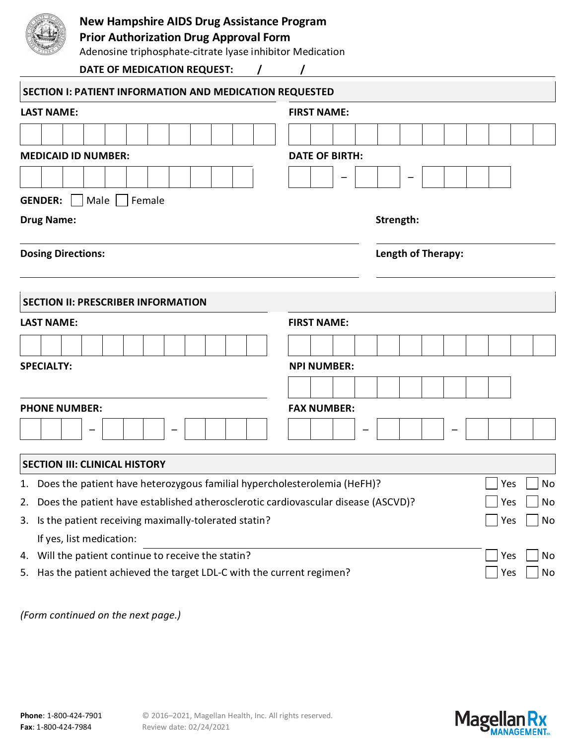|                           | <b>New Hampshire AIDS Drug Assistance Program</b><br><b>Prior Authorization Drug Approval Form</b><br>Adenosine triphosphate-citrate lyase inhibitor Medication |                       |                    |  |  |  |  |  |  |     |    |  |  |  |
|---------------------------|-----------------------------------------------------------------------------------------------------------------------------------------------------------------|-----------------------|--------------------|--|--|--|--|--|--|-----|----|--|--|--|
|                           | DATE OF MEDICATION REQUEST:<br>$\prime$                                                                                                                         |                       |                    |  |  |  |  |  |  |     |    |  |  |  |
|                           | SECTION I: PATIENT INFORMATION AND MEDICATION REQUESTED                                                                                                         |                       |                    |  |  |  |  |  |  |     |    |  |  |  |
| <b>LAST NAME:</b>         |                                                                                                                                                                 |                       | <b>FIRST NAME:</b> |  |  |  |  |  |  |     |    |  |  |  |
|                           |                                                                                                                                                                 |                       |                    |  |  |  |  |  |  |     |    |  |  |  |
|                           | <b>MEDICAID ID NUMBER:</b>                                                                                                                                      | <b>DATE OF BIRTH:</b> |                    |  |  |  |  |  |  |     |    |  |  |  |
|                           |                                                                                                                                                                 |                       |                    |  |  |  |  |  |  |     |    |  |  |  |
|                           |                                                                                                                                                                 |                       |                    |  |  |  |  |  |  |     |    |  |  |  |
| <b>GENDER:</b>            | Male   Female                                                                                                                                                   |                       |                    |  |  |  |  |  |  |     |    |  |  |  |
| <b>Drug Name:</b>         |                                                                                                                                                                 |                       | Strength:          |  |  |  |  |  |  |     |    |  |  |  |
| <b>Dosing Directions:</b> |                                                                                                                                                                 |                       | Length of Therapy: |  |  |  |  |  |  |     |    |  |  |  |
|                           |                                                                                                                                                                 |                       |                    |  |  |  |  |  |  |     |    |  |  |  |
|                           | <b>SECTION II: PRESCRIBER INFORMATION</b>                                                                                                                       |                       |                    |  |  |  |  |  |  |     |    |  |  |  |
| <b>LAST NAME:</b>         |                                                                                                                                                                 |                       | <b>FIRST NAME:</b> |  |  |  |  |  |  |     |    |  |  |  |
|                           |                                                                                                                                                                 |                       |                    |  |  |  |  |  |  |     |    |  |  |  |
| <b>SPECIALTY:</b>         |                                                                                                                                                                 | <b>NPI NUMBER:</b>    |                    |  |  |  |  |  |  |     |    |  |  |  |
|                           |                                                                                                                                                                 |                       |                    |  |  |  |  |  |  |     |    |  |  |  |
|                           |                                                                                                                                                                 |                       |                    |  |  |  |  |  |  |     |    |  |  |  |
| <b>PHONE NUMBER:</b>      |                                                                                                                                                                 |                       | <b>FAX NUMBER:</b> |  |  |  |  |  |  |     |    |  |  |  |
|                           |                                                                                                                                                                 |                       |                    |  |  |  |  |  |  |     |    |  |  |  |
|                           | <b>SECTION III: CLINICAL HISTORY</b>                                                                                                                            |                       |                    |  |  |  |  |  |  |     |    |  |  |  |
| 1.                        | Does the patient have heterozygous familial hypercholesterolemia (HeFH)?                                                                                        |                       |                    |  |  |  |  |  |  | Yes | No |  |  |  |
| 2.                        | Does the patient have established atherosclerotic cardiovascular disease (ASCVD)?<br>Yes                                                                        |                       |                    |  |  |  |  |  |  |     | No |  |  |  |
| 3.                        | Is the patient receiving maximally-tolerated statin?<br>Yes                                                                                                     |                       |                    |  |  |  |  |  |  | No  |    |  |  |  |
|                           | If yes, list medication:                                                                                                                                        |                       |                    |  |  |  |  |  |  |     |    |  |  |  |
| 4.                        | Will the patient continue to receive the statin?                                                                                                                |                       |                    |  |  |  |  |  |  | Yes | No |  |  |  |
| 5.                        | Has the patient achieved the target LDL-C with the current regimen?                                                                                             |                       |                    |  |  |  |  |  |  | Yes | No |  |  |  |

*(Form continued on the next page.)*